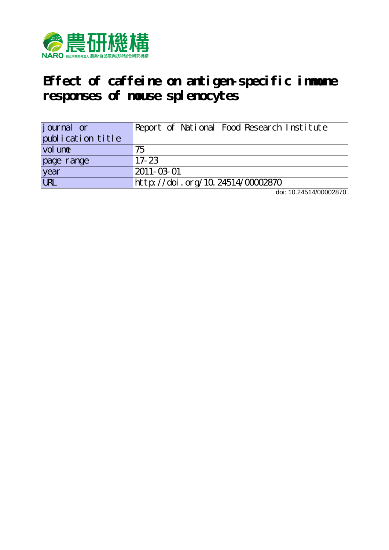

# **Effect of caffeine on antigen-specific immune responses of mouse splenocytes**

| journal or             | Report of National Food Research Institute |
|------------------------|--------------------------------------------|
| publication title      |                                            |
| vol une                | 75                                         |
| page range             | $17 - 23$                                  |
| year                   | 2011-03-01                                 |
| $\overline{\text{UL}}$ | http://doi.org/10.24514/00002870           |

doi: 10.24514/00002870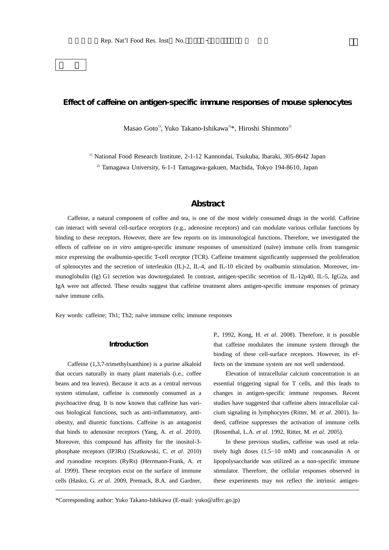## **Effect of caffeine on antigen-specific immune responses of mouse splenocytes**

Masao Goto<sup>1)</sup>, Yuko Takano-Ishikawa<sup>1)\*</sup>, Hiroshi Shinmoto<sup>2)</sup>

<sup>1)</sup> National Food Research Institute, 2-1-12 Kannondai, Tsukuba, Ibaraki, 305-8642 Japan

2) Tamagawa University, 6-1-1 Tamagawa-gakuen, Machida, Tokyo 194-8610, Japan

## **Abstract**

Caffeine, a natural component of coffee and tea, is one of the most widely consumed drugs in the world. Caffeine can interact with several cell-surface receptors (e.g., adenosine receptors) and can modulate various cellular functions by binding to these receptors. However, there are few reports on its immunological functions. Therefore, we investigated the effects of caffeine on *in vitro* antigen-specific immune responses of unsensitized (naïve) immune cells from transgenic mice expressing the ovalbumin-specific T-cell receptor (TCR). Caffeine treatment significantly suppressed the proliferation of splenocytes and the secretion of interleukin (IL)-2, IL-4, and IL-10 elicited by ovalbumin stimulation. Moreover, immunoglobulin (Ig) G1 secretion was downregulated. In contrast, antigen-specific secretion of IL-12p40, IL-5, IgG2a, and IgA were not affected. These results suggest that caffeine treatment alters antigen-specific immune responses of primary naïve immune cells.

Key words: caffeine; Th1; Th2; naïve immune cells; immune responses

#### **Introduction**

Caffeine (1,3,7-trimethylxanthine) is a purine alkaloid that occurs naturally in many plant materials (i.e., coffee beans and tea leaves). Because it acts as a central nervous system stimulant, caffeine is commonly consumed as a psychoactive drug. It is now known that caffeine has various biological functions, such as anti-inflammatory, antiobesity, and diuretic functions. Caffeine is an antagonist that binds to adenosine receptors (Yang, A. *et al*. 2010). Moreover, this compound has affinity for the inositol-3 phosphate receptors (IP3Rs) (Szatkowski, C. *et al*. 2010) and ryanodine receptors (RyRs) (Herrmann-Frank, A. *et al*. 1999). These receptors exist on the surface of immune cells (Hasko, G. *et al*. 2009, Premack, B.A. and Gardner,

P., 1992, Kong, H. *et al*. 2008). Therefore, it is possible that caffeine modulates the immune system through the binding of these cell-surface receptors. However, its effects on the immune system are not well understood.

Elevation of intracellular calcium concentration is an essential triggering signal for T cells, and this leads to changes in antigen-specific immune responses. Recent studies have suggested that caffeine alters intracellular calcium signaling in lymphocytes (Ritter, M. *et al*. 2001). Indeed, caffeine suppresses the activation of immune cells (Rosenthal, L.A. *et al*. 1992, Ritter, M. *et al*. 2005).

In these previous studies, caffeine was used at relatively high doses (1.5−10 mM) and concanavalin A or lipopolysaccharide was utilized as a non-specific immune stimulator. Therefore, the cellular responses observed in these experiments may not reflect the intrinsic antigen-

\*Corresponding author: Yuko Takano-Ishikawa (E-mail: yuko@affrc.go.jp)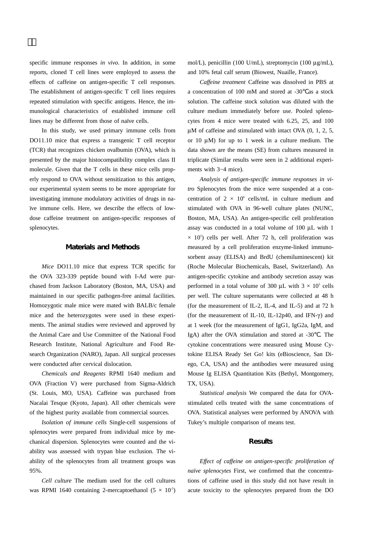specific immune responses *in vivo*. In addition, in some reports, cloned T cell lines were employed to assess the effects of caffeine on antigen-specific T cell responses. The establishment of antigen-specific T cell lines requires repeated stimulation with specific antigens. Hence, the immunological characteristics of established immune cell lines may be different from those of naïve cells.

In this study, we used primary immune cells from DO11.10 mice that express a transgenic T cell receptor (TCR) that recognizes chicken ovalbumin (OVA), which is presented by the major histocompatibility complex class II molecule. Given that the T cells in these mice cells properly respond to OVA without sensitization to this antigen, our experimental system seems to be more appropriate for investigating immune modulatory activities of drugs in naïve immune cells. Here, we describe the effects of lowdose caffeine treatment on antigen-specific responses of splenocytes.

#### **Materials and Methods**

*Mice* DO11.10 mice that express TCR specific for the OVA 323-339 peptide bound with I-Ad were purchased from Jackson Laboratory (Boston, MA, USA) and maintained in our specific pathogen-free animal facilities. Homozygotic male mice were mated with BALB/c female mice and the heterozygotes were used in these experiments. The animal studies were reviewed and approved by the Animal Care and Use Committee of the National Food Research Institute, National Agriculture and Food Research Organization (NARO), Japan. All surgical processes were conducted after cervical dislocation.

*Chemicals and Reagents* RPMI 1640 medium and OVA (Fraction V) were purchased from Sigma-Aldrich (St. Louis, MO, USA). Caffeine was purchased from Nacalai Tesque (Kyoto, Japan). All other chemicals were of the highest purity available from commercial sources.

*Isolation of immune cells* Single-cell suspensions of splenocytes were prepared from individual mice by mechanical dispersion. Splenocytes were counted and the viability was assessed with trypan blue exclusion. The viability of the splenocytes from all treatment groups was 95%.

*Cell culture* The medium used for the cell cultures was RPMI 1640 containing 2-mercaptoethanol  $(5 \times 10^{-5})$  mol/L), penicillin (100 U/mL), streptomycin (100 μg/mL), and 10% fetal calf serum (Biowest, Nuaille, France).

*Caffeine treatment* Caffeine was dissolved in PBS at a concentration of 100 mM and stored at -30 as a stock solution. The caffeine stock solution was diluted with the culture medium immediately before use. Pooled splenocytes from 4 mice were treated with 6.25, 25, and 100 μM of caffeine and stimulated with intact OVA (0, 1, 2, 5, or 10 μM) for up to 1 week in a culture medium. The data shown are the means (SE) from cultures measured in triplicate (Similar results were seen in 2 additional experiments with 3−4 mice).

*Analysis of antigen-specific immune responses in vitro* Splenocytes from the mice were suspended at a concentration of  $2 \times 10^6$  cells/mL in culture medium and stimulated with OVA in 96-well culture plates (NUNC, Boston, MA, USA). An antigen-specific cell proliferation assay was conducted in a total volume of 100 μL with 1  $\times$  10<sup>5</sup>) cells per well. After 72 h, cell proliferation was measured by a cell proliferation enzyme-linked immunosorbent assay (ELISA) and BrdU (chemiluminescent) kit (Roche Molecular Biochemicals, Basel, Switzerland). An antigen-specific cytokine and antibody secretion assay was performed in a total volume of 300 μL with  $3 \times 10^5$  cells per well. The culture supernatants were collected at 48 h (for the measurement of IL-2, IL-4, and IL-5) and at 72 h (for the measurement of IL-10, IL-12p40, and IFN-γ) and at 1 week (for the measurement of IgG1, IgG2a, IgM, and IgA) after the OVA stimulation and stored at -30 . The cytokine concentrations were measured using Mouse Cytokine ELISA Ready Set Go! kits (eBioscience, San Diego, CA, USA) and the antibodies were measured using Mouse Ig ELISA Quantitation Kits (Bethyl, Montgomery, TX, USA).

*Statistical analysis* We compared the data for OVAstimulated cells treated with the same concentrations of OVA. Statistical analyses were performed by ANOVA with Tukey's multiple comparison of means test.

#### **Results**

*Effect of caffeine on antigen-specific proliferation of naïve splenocytes* First, we confirmed that the concentrations of caffeine used in this study did not have result in acute toxicity to the splenocytes prepared from the DO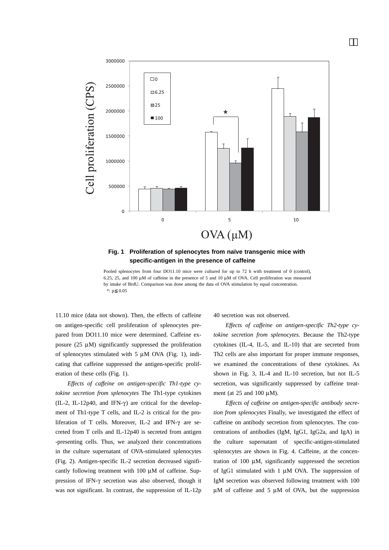

## **Fig. 1 Proliferation of splenocytes from naïve transgenic mice with specific-antigen in the presence of caffeine**

Pooled splenocytes from four DO11.10 mice were cultured for up to 72 h with treatment of 0 (control), 6.25, 25, and 100 μM of caffeine in the presence of 5 and 10 μM of OVA. Cell proliferation was measured by intake of BrdU. Comparison was done among the data of OVA stimulation by equal concentration. \*: p 0.05

11.10 mice (data not shown). Then, the effects of caffeine on antigen-specific cell proliferation of splenocytes prepared from DO11.10 mice were determined. Caffeine exposure  $(25 \mu M)$  significantly suppressed the proliferation of splenocytes stimulated with 5 μM OVA (Fig. 1), indicating that caffeine suppressed the antigen-specific proliferation of these cells (Fig. 1).

*Effects of caffeine on antigen-specific Th1-type cytokine secretion from splenocytes* The Th1-type cytokines (IL-2, IL-12p40, and IFN-γ) are critical for the development of Th1-type T cells, and IL-2 is critical for the proliferation of T cells. Moreover, IL-2 and IFN-γ are secreted from T cells and IL-12p40 is secreted from antigen -presenting cells. Thus, we analyzed their concentrations in the culture supernatant of OVA-stimulated splenocytes (Fig. 2). Antigen-specific IL-2 secretion decreased significantly following treatment with 100 μM of caffeine. Suppression of IFN-γ secretion was also observed, though it was not significant. In contrast, the suppression of IL-12p 40 secretion was not observed.

*Effects of caffeine on antigen-specific Th2-type cytokine secretion from splenocytes.* Because the Th2-type cytokines (IL-4, IL-5, and IL-10) that are secreted from Th2 cells are also important for proper immune responses, we examined the concentrations of these cytokines. As shown in Fig. 3, IL-4 and IL-10 secretion, but not IL-5 secretion, was significantly suppressed by caffeine treatment (at 25 and 100 μM).

*Effects of caffeine on antigen-specific antibody secretion from splenocytes* Finally, we investigated the effect of caffeine on antibody secretion from splenocytes. The concentrations of antibodies (IgM, IgG1, IgG2a, and IgA) in the culture supernatant of specific-antigen-stimulated splenocytes are shown in Fig. 4. Caffeine, at the concentration of 100  $\mu$ M, significantly suppressed the secretion of IgG1 stimulated with 1 μM OVA. The suppression of IgM secretion was observed following treatment with 100 μM of caffeine and 5 μM of OVA, but the suppression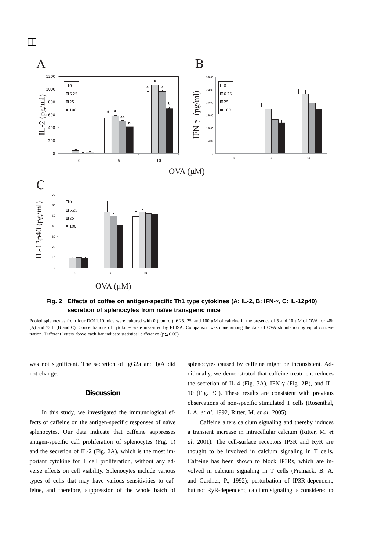

## **Fig. 2 Effects of coffee on antigen-specific Th1 type cytokines (A: IL-2, B: IFN-**γ**, C: IL-12p40) secretion of splenocytes from naïve transgenic mice**

Pooled splenocytes from four DO11.10 mice were cultured with 0 (control), 6.25, 25, and 100 μM of caffeine in the presence of 5 and 10 μM of OVA for 48h (A) and 72 h (B and C). Concentrations of cytokines were measured by ELISA. Comparison was done among the data of OVA stimulation by equal concentration. Different letters above each bar indicate statistical difference (p 0.05).

was not significant. The secretion of IgG2a and IgA did not change.

#### **Discussion**

In this study, we investigated the immunological effects of caffeine on the antigen-specific responses of naïve splenocytes. Our data indicate that caffeine suppresses antigen-specific cell proliferation of splenocytes (Fig. 1) and the secretion of IL-2 (Fig. 2A), which is the most important cytokine for T cell proliferation, without any adverse effects on cell viability. Splenocytes include various types of cells that may have various sensitivities to caffeine, and therefore, suppression of the whole batch of splenocytes caused by caffeine might be inconsistent. Additionally, we demonstrated that caffeine treatment reduces the secretion of IL-4 (Fig. 3A), IFN-γ (Fig. 2B), and IL-10 (Fig. 3C). These results are consistent with previous observations of non-specific stimulated T cells (Rosenthal, L.A. *et al*. 1992, Ritter, M. *et al*. 2005).

Caffeine alters calcium signaling and thereby induces a transient increase in intracellular calcium (Ritter, M. *et al*. 2001). The cell-surface receptors IP3R and RyR are thought to be involved in calcium signaling in T cells. Caffeine has been shown to block IP3Rs, which are involved in calcium signaling in T cells (Premack, B. A. and Gardner, P., 1992); perturbation of IP3R-dependent, but not RyR-dependent, calcium signaling is considered to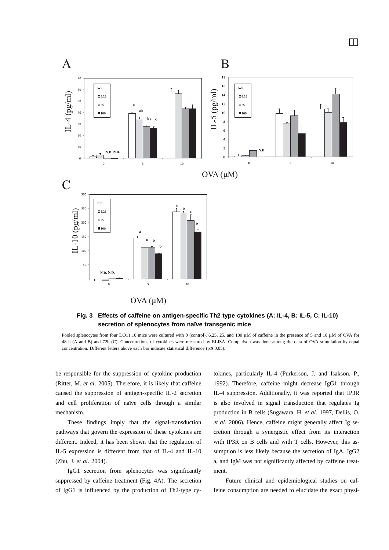

### **Fig. 3 Effects of caffeine on antigen-specific Th2 type cytokines (A: IL-4, B: IL-5, C: IL-10) secretion of splenocytes from naïve transgenic mice**

Pooled splenocytes from four DO11.10 mice were cultured with 0 (control), 6.25, 25, and 100 μM of caffeine in the presence of 5 and 10 μM of OVA for 48 h (A and B) and 72h (C). Concentrations of cytokines were measured by ELISA. Comparison was done among the data of OVA stimulation by equal concentration. Different letters above each bar indicate statistical difference (p 0.05).

be responsible for the suppression of cytokine production (Ritter, M. *et al*. 2005). Therefore, it is likely that caffeine caused the suppression of antigen-specific IL-2 secretion and cell proliferation of naïve cells through a similar mechanism.

These findings imply that the signal-transduction pathways that govern the expression of these cytokines are different. Indeed, it has been shown that the regulation of IL-5 expression is different from that of IL-4 and IL-10 (Zhu, J. *et al*. 2004).

IgG1 secretion from splenocytes was significantly suppressed by caffeine treatment (Fig. 4A). The secretion of IgG1 is influenced by the production of Th2-type cytokines, particularly IL-4 (Purkerson, J. and Isakson, P., 1992). Therefore, caffeine might decrease IgG1 through IL-4 suppression. Additionally, it was reported that IP3R is also involved in signal transduction that regulates Ig production in B cells (Sugawara, H. *et al*. 1997, Dellis, O. *et al*. 2006). Hence, caffeine might generally affect Ig secretion through a synergistic effect from its interaction with IP3R on B cells and with T cells. However, this assumption is less likely because the secretion of IgA, IgG2 a, and IgM was not significantly affected by caffeine treatment.

Future clinical and epidemiological studies on caffeine consumption are needed to elucidate the exact physi-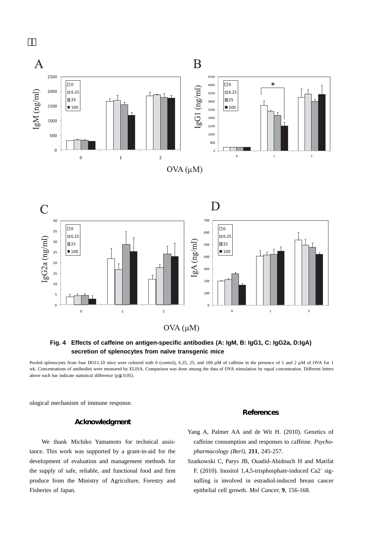



## **Fig. 4 Effects of caffeine on antigen-specific antibodies (A: IgM, B: IgG1, C: IgG2a, D:IgA) secretion of splenocytes from naïve transgenic mice**

Pooled splenocytes from four DO11.10 mice were cultured with 0 (control), 6.25, 25, and 100 μM of caffeine in the presence of 1 and 2 μM of OVA for 1 wk. Concentrations of antibodies were measured by ELISA. Comparison was done among the data of OVA stimulation by equal concentration. Different letters above each bar indicate statistical difference  $(p \ 0.05)$ .

ological mechanism of immune response.

#### **Acknowledgment**

## We thank Michiko Yamamoto for technical assistance. This work was supported by a grant-in-aid for the development of evaluation and management methods for the supply of safe, reliable, and functional food and firm produce from the Ministry of Agriculture, Forestry and Fisheries of Japan.

#### **References**

- Yang A, Palmer AA and de Wit H. (2010). Genetics of caffeine consumption and responses to caffeine. *Psychopharmacology (Berl)*, **211**, 245-257.
- Szatkowski C, Parys JB, Ouadid-Ahidouch H and Matifat F. (2010). Inositol 1,4,5-trisphosphate-induced  $Ca2^+$  signalling is involved in estradiol-induced breast cancer epithelial cell growth. *Mol Cancer,* **9**, 156-168.